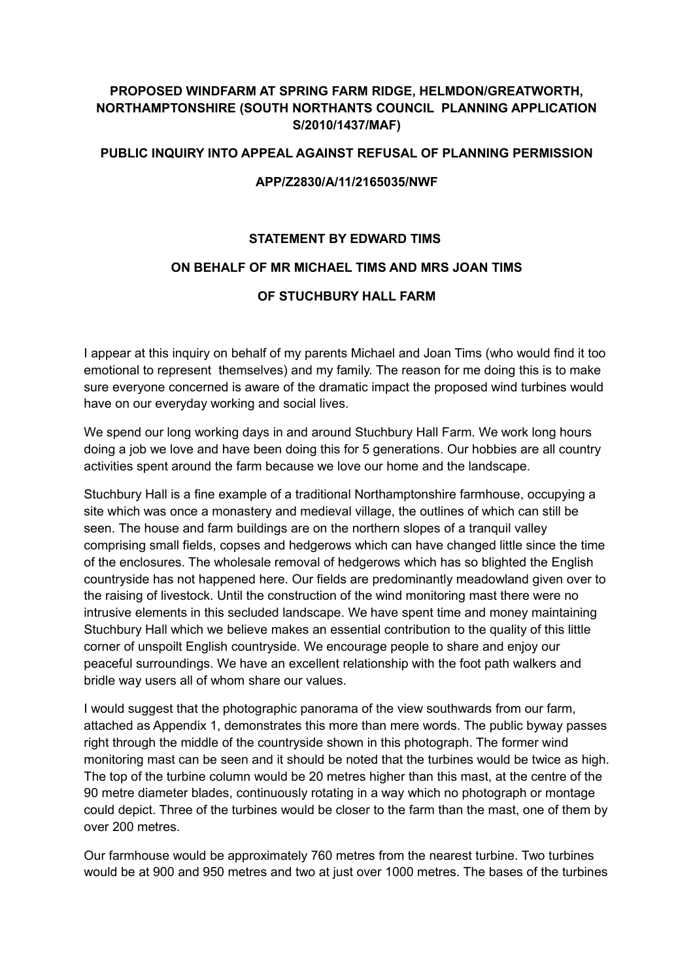## **PROPOSED WINDFARM AT SPRING FARM RIDGE, HELMDON/GREATWORTH, NORTHAMPTONSHIRE (SOUTH NORTHANTS COUNCIL PLANNING APPLICATION S/2010/1437/MAF)**

#### **PUBLIC INQUIRY INTO APPEAL AGAINST REFUSAL OF PLANNING PERMISSION**

#### **APP/Z2830/A/11/2165035/NWF**

#### **STATEMENT BY EDWARD TIMS**

## **ON BEHALF OF MR MICHAEL TIMS AND MRS JOAN TIMS**

## **OF STUCHBURY HALL FARM**

I appear at this inquiry on behalf of my parents Michael and Joan Tims (who would find it too emotional to represent themselves) and my family. The reason for me doing this is to make sure everyone concerned is aware of the dramatic impact the proposed wind turbines would have on our everyday working and social lives.

We spend our long working days in and around Stuchbury Hall Farm. We work long hours doing a job we love and have been doing this for 5 generations. Our hobbies are all country activities spent around the farm because we love our home and the landscape.

Stuchbury Hall is a fine example of a traditional Northamptonshire farmhouse, occupying a site which was once a monastery and medieval village, the outlines of which can still be seen. The house and farm buildings are on the northern slopes of a tranquil valley comprising small fields, copses and hedgerows which can have changed little since the time of the enclosures. The wholesale removal of hedgerows which has so blighted the English countryside has not happened here. Our fields are predominantly meadowland given over to the raising of livestock. Until the construction of the wind monitoring mast there were no intrusive elements in this secluded landscape. We have spent time and money maintaining Stuchbury Hall which we believe makes an essential contribution to the quality of this little corner of unspoilt English countryside. We encourage people to share and enjoy our peaceful surroundings. We have an excellent relationship with the foot path walkers and bridle way users all of whom share our values.

I would suggest that the photographic panorama of the view southwards from our farm, attached as Appendix 1, demonstrates this more than mere words. The public byway passes right through the middle of the countryside shown in this photograph. The former wind monitoring mast can be seen and it should be noted that the turbines would be twice as high. The top of the turbine column would be 20 metres higher than this mast, at the centre of the 90 metre diameter blades, continuously rotating in a way which no photograph or montage could depict. Three of the turbines would be closer to the farm than the mast, one of them by over 200 metres.

Our farmhouse would be approximately 760 metres from the nearest turbine. Two turbines would be at 900 and 950 metres and two at just over 1000 metres. The bases of the turbines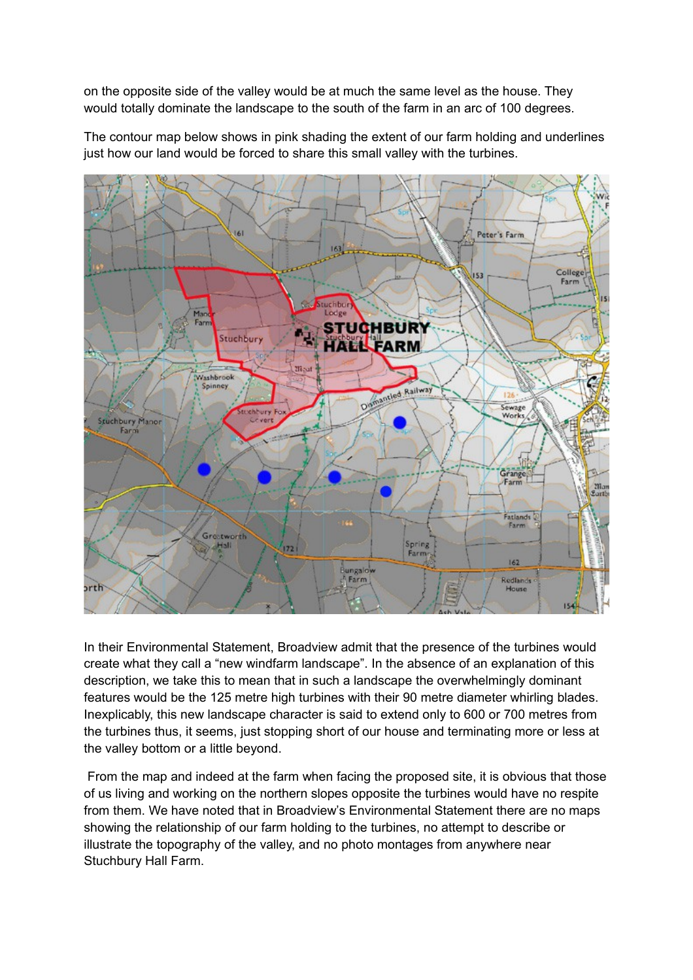on the opposite side of the valley would be at much the same level as the house. They would totally dominate the landscape to the south of the farm in an arc of 100 degrees.

The contour map below shows in pink shading the extent of our farm holding and underlines just how our land would be forced to share this small valley with the turbines.



In their Environmental Statement, Broadview admit that the presence of the turbines would create what they call a "new windfarm landscape". In the absence of an explanation of this description, we take this to mean that in such a landscape the overwhelmingly dominant features would be the 125 metre high turbines with their 90 metre diameter whirling blades. Inexplicably, this new landscape character is said to extend only to 600 or 700 metres from the turbines thus, it seems, just stopping short of our house and terminating more or less at the valley bottom or a little beyond.

 From the map and indeed at the farm when facing the proposed site, it is obvious that those of us living and working on the northern slopes opposite the turbines would have no respite from them. We have noted that in Broadview's Environmental Statement there are no maps showing the relationship of our farm holding to the turbines, no attempt to describe or illustrate the topography of the valley, and no photo montages from anywhere near Stuchbury Hall Farm.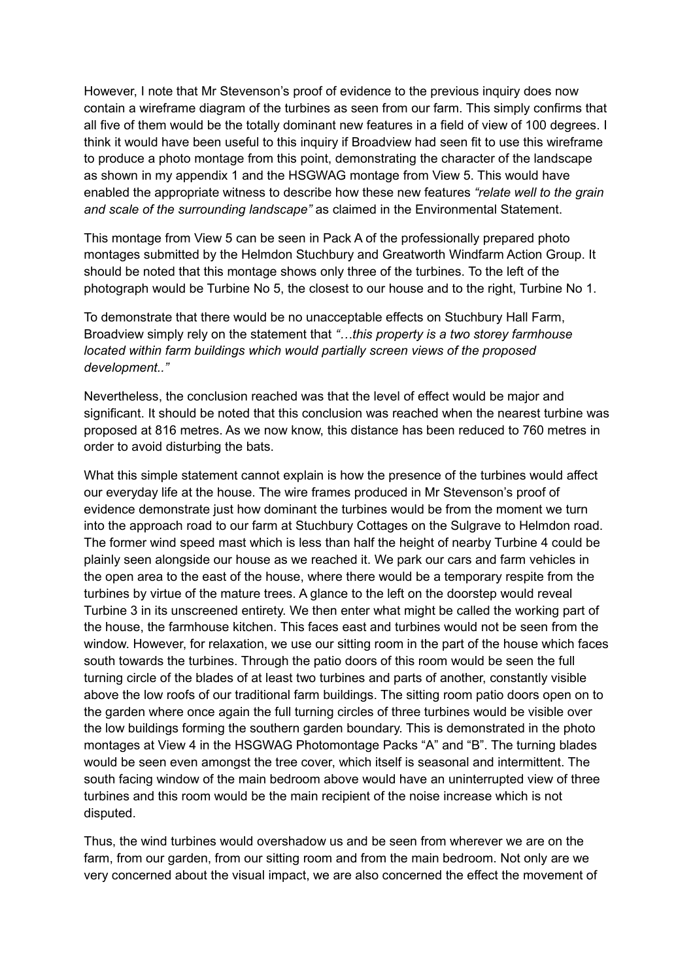However, I note that Mr Stevenson's proof of evidence to the previous inquiry does now contain a wireframe diagram of the turbines as seen from our farm. This simply confirms that all five of them would be the totally dominant new features in a field of view of 100 degrees. I think it would have been useful to this inquiry if Broadview had seen fit to use this wireframe to produce a photo montage from this point, demonstrating the character of the landscape as shown in my appendix 1 and the HSGWAG montage from View 5. This would have enabled the appropriate witness to describe how these new features *"relate well to the grain and scale of the surrounding landscape"* as claimed in the Environmental Statement.

This montage from View 5 can be seen in Pack A of the professionally prepared photo montages submitted by the Helmdon Stuchbury and Greatworth Windfarm Action Group. It should be noted that this montage shows only three of the turbines. To the left of the photograph would be Turbine No 5, the closest to our house and to the right, Turbine No 1.

To demonstrate that there would be no unacceptable effects on Stuchbury Hall Farm, Broadview simply rely on the statement that *"…this property is a two storey farmhouse located within farm buildings which would partially screen views of the proposed development.."*

Nevertheless, the conclusion reached was that the level of effect would be major and significant. It should be noted that this conclusion was reached when the nearest turbine was proposed at 816 metres. As we now know, this distance has been reduced to 760 metres in order to avoid disturbing the bats.

What this simple statement cannot explain is how the presence of the turbines would affect our everyday life at the house. The wire frames produced in Mr Stevenson's proof of evidence demonstrate just how dominant the turbines would be from the moment we turn into the approach road to our farm at Stuchbury Cottages on the Sulgrave to Helmdon road. The former wind speed mast which is less than half the height of nearby Turbine 4 could be plainly seen alongside our house as we reached it. We park our cars and farm vehicles in the open area to the east of the house, where there would be a temporary respite from the turbines by virtue of the mature trees. A glance to the left on the doorstep would reveal Turbine 3 in its unscreened entirety. We then enter what might be called the working part of the house, the farmhouse kitchen. This faces east and turbines would not be seen from the window. However, for relaxation, we use our sitting room in the part of the house which faces south towards the turbines. Through the patio doors of this room would be seen the full turning circle of the blades of at least two turbines and parts of another, constantly visible above the low roofs of our traditional farm buildings. The sitting room patio doors open on to the garden where once again the full turning circles of three turbines would be visible over the low buildings forming the southern garden boundary. This is demonstrated in the photo montages at View 4 in the HSGWAG Photomontage Packs "A" and "B". The turning blades would be seen even amongst the tree cover, which itself is seasonal and intermittent. The south facing window of the main bedroom above would have an uninterrupted view of three turbines and this room would be the main recipient of the noise increase which is not disputed.

Thus, the wind turbines would overshadow us and be seen from wherever we are on the farm, from our garden, from our sitting room and from the main bedroom. Not only are we very concerned about the visual impact, we are also concerned the effect the movement of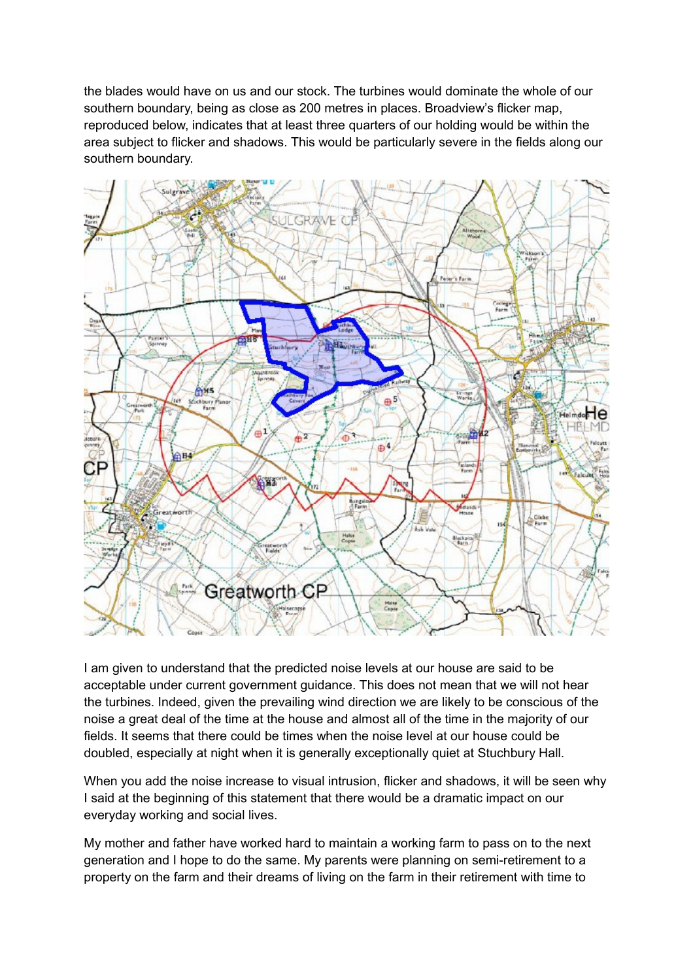the blades would have on us and our stock. The turbines would dominate the whole of our southern boundary, being as close as 200 metres in places. Broadview's flicker map, reproduced below, indicates that at least three quarters of our holding would be within the area subject to flicker and shadows. This would be particularly severe in the fields along our southern boundary.



I am given to understand that the predicted noise levels at our house are said to be acceptable under current government guidance. This does not mean that we will not hear the turbines. Indeed, given the prevailing wind direction we are likely to be conscious of the noise a great deal of the time at the house and almost all of the time in the majority of our fields. It seems that there could be times when the noise level at our house could be doubled, especially at night when it is generally exceptionally quiet at Stuchbury Hall.

When you add the noise increase to visual intrusion, flicker and shadows, it will be seen why I said at the beginning of this statement that there would be a dramatic impact on our everyday working and social lives.

My mother and father have worked hard to maintain a working farm to pass on to the next generation and I hope to do the same. My parents were planning on semi-retirement to a property on the farm and their dreams of living on the farm in their retirement with time to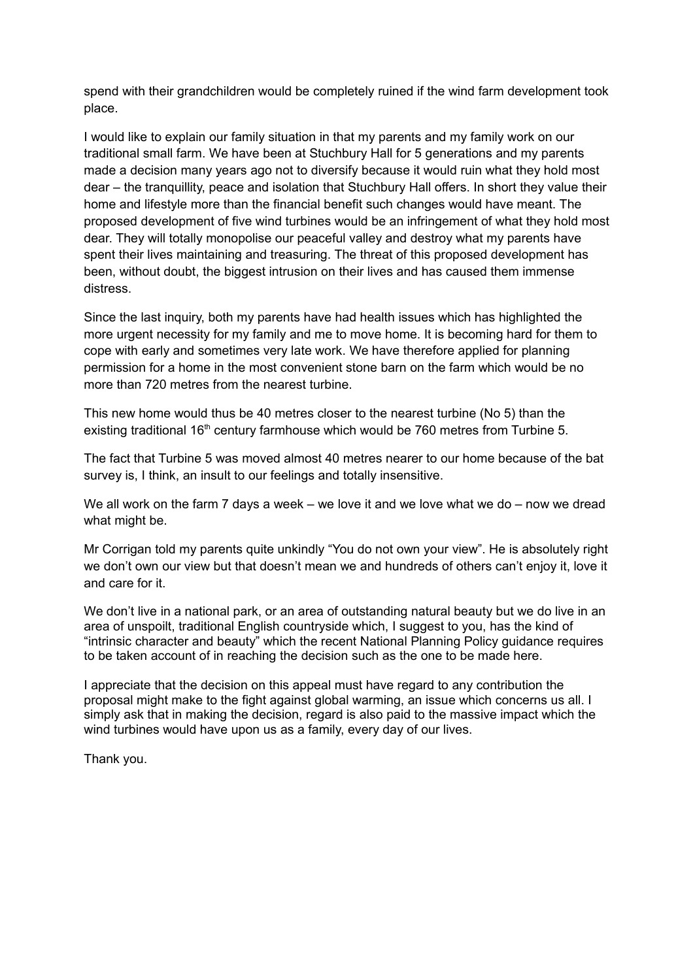spend with their grandchildren would be completely ruined if the wind farm development took place.

I would like to explain our family situation in that my parents and my family work on our traditional small farm. We have been at Stuchbury Hall for 5 generations and my parents made a decision many years ago not to diversify because it would ruin what they hold most dear – the tranquillity, peace and isolation that Stuchbury Hall offers. In short they value their home and lifestyle more than the financial benefit such changes would have meant. The proposed development of five wind turbines would be an infringement of what they hold most dear. They will totally monopolise our peaceful valley and destroy what my parents have spent their lives maintaining and treasuring. The threat of this proposed development has been, without doubt, the biggest intrusion on their lives and has caused them immense distress.

Since the last inquiry, both my parents have had health issues which has highlighted the more urgent necessity for my family and me to move home. It is becoming hard for them to cope with early and sometimes very late work. We have therefore applied for planning permission for a home in the most convenient stone barn on the farm which would be no more than 720 metres from the nearest turbine.

This new home would thus be 40 metres closer to the nearest turbine (No 5) than the existing traditional 16<sup>th</sup> century farmhouse which would be 760 metres from Turbine 5.

The fact that Turbine 5 was moved almost 40 metres nearer to our home because of the bat survey is, I think, an insult to our feelings and totally insensitive.

We all work on the farm 7 days a week – we love it and we love what we do – now we dread what might be.

Mr Corrigan told my parents quite unkindly "You do not own your view". He is absolutely right we don't own our view but that doesn't mean we and hundreds of others can't enjoy it, love it and care for it.

We don't live in a national park, or an area of outstanding natural beauty but we do live in an area of unspoilt, traditional English countryside which, I suggest to you, has the kind of "intrinsic character and beauty" which the recent National Planning Policy guidance requires to be taken account of in reaching the decision such as the one to be made here.

I appreciate that the decision on this appeal must have regard to any contribution the proposal might make to the fight against global warming, an issue which concerns us all. I simply ask that in making the decision, regard is also paid to the massive impact which the wind turbines would have upon us as a family, every day of our lives.

Thank you.